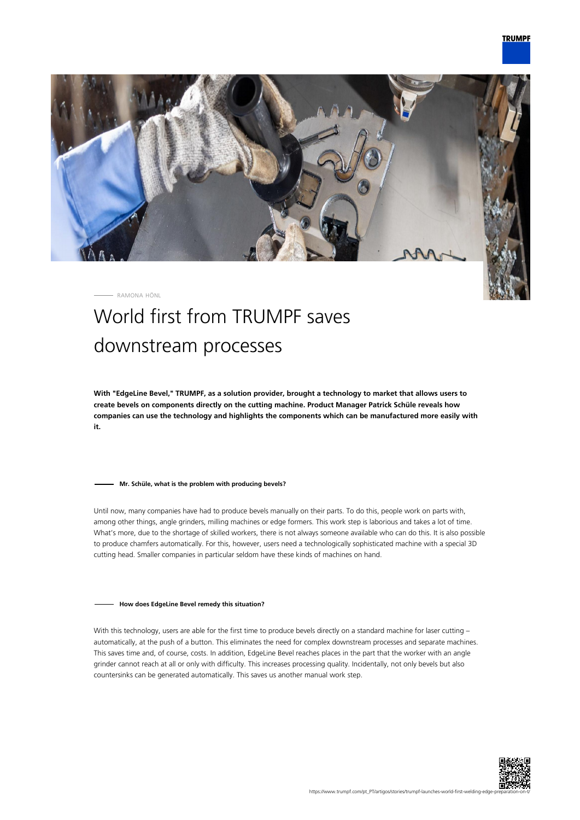

RAMONA HÖNL

# World first from TRUMPF saves downstream processes

**With "EdgeLine Bevel," TRUMPF, as a solution provider, brought a technology to market that allows users to create bevels on components directly on the cutting machine. Product Manager Patrick Schüle reveals how companies can use the technology and highlights the components which can be manufactured more easily with it.**

### **Mr. Schüle, what is the problem with producing bevels?**

Until now, many companies have had to produce bevels manually on their parts. To do this, people work on parts with, among other things, angle grinders, milling machines or edge formers. This work step is laborious and takes a lot of time. What's more, due to the shortage of skilled workers, there is not always someone available who can do this. It is also possible to produce chamfers automatically. For this, however, users need a technologically sophisticated machine with a special 3D cutting head. Smaller companies in particular seldom have these kinds of machines on hand.

#### **How does EdgeLine Bevel remedy this situation?**

With this technology, users are able for the first time to produce bevels directly on a standard machine for laser cutting automatically, at the push of a button. This eliminates the need for complex downstream processes and separate machines. This saves time and, of course, costs. In addition, EdgeLine Bevel reaches places in the part that the worker with an angle grinder cannot reach at all or only with difficulty. This increases processing quality. Incidentally, not only bevels but also countersinks can be generated automatically. This saves us another manual work step.

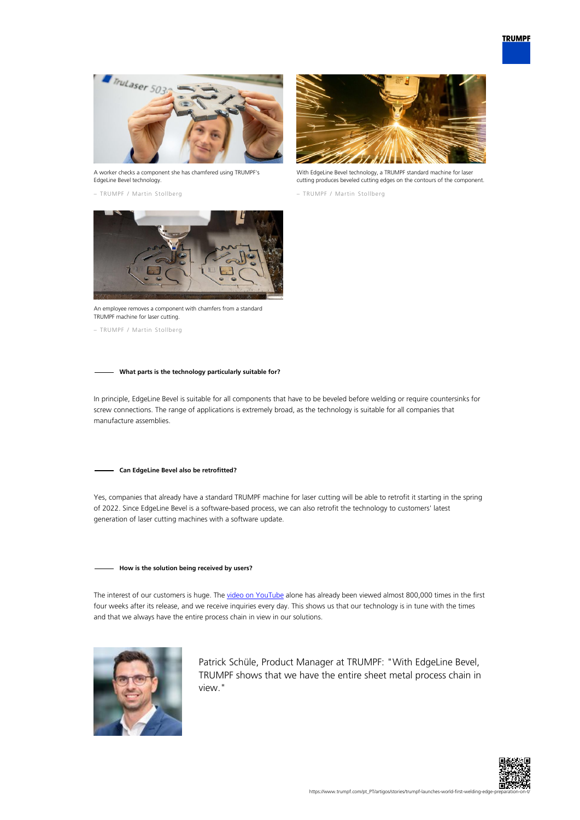

A worker checks a component she has chamfered using TRUMPF's EdgeLine Bevel technology.

– TRUMPF / Martin Stollberg



With EdgeLine Bevel technology, a TRUMPF standard machine for laser cutting produces beveled cutting edges on the contours of the component.

– TRUMPF / Martin Stollberg



An employee removes a component with chamfers from a standard TRUMPF machine for laser cutting.

– TRUMPF / Martin Stollberg

## **What parts is the technology particularly suitable for?**

In principle, EdgeLine Bevel is suitable for all components that have to be beveled before welding or require countersinks for screw connections. The range of applications is extremely broad, as the technology is suitable for all companies that manufacture assemblies.

#### **Can EdgeLine Bevel also be retrofitted?**

Yes, companies that already have a standard TRUMPF machine for laser cutting will be able to retrofit it starting in the spring of 2022. Since EdgeLine Bevel is a software-based process, we can also retrofit the technology to customers' latest generation of laser cutting machines with a software update.

## **How is the solution being received by users?**

The interest of our customers is huge. The [video on YouTube](https://www.youtube.com/watch?v=wjYai1xAQek) alone has already been viewed almost 800,000 times in the first four weeks after its release, and we receive inquiries every day. This shows us that our technology is in tune with the times and that we always have the entire process chain in view in our solutions.



Patrick Schüle, Product Manager at TRUMPF: "With EdgeLine Bevel, TRUMPF shows that we have the entire sheet metal process chain in view."